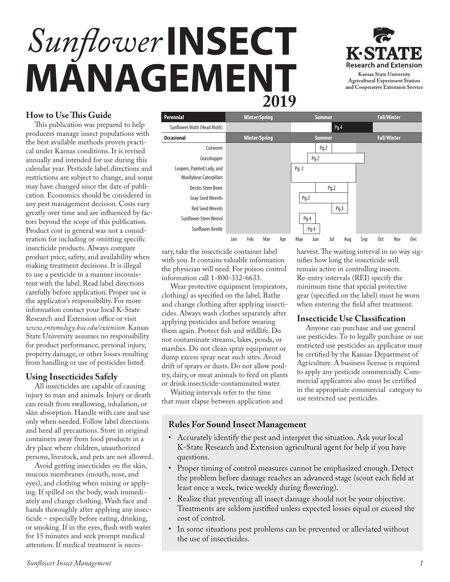# Sunflower INSECT MÄNAGEMENT



# **How to Use This Guide**

This publication was prepared to help producers manage insect populations with the best available methods proven practical under Kansas conditions. It is revised annually and intended for use during this calendar year. Pesticide label directions and restrictions are subject to change, and some may have changed since the date of publication. Economics should be considered in any pest management decision. Costs vary greatly over time and are influenced by factors beyond the scope of this publication. Product cost in general was not a consideration for including or omitting specific insecticide products. Always compare product price, safety, and availability when making treatment decisions. It is illegal to use a pesticide in a manner inconsistent with the label. Read label directions carefully before application. Proper use is the applicator's responsibility. For more information contact your local K-State Research and Extension office or visit *[www.entomology.ksu.edu/extension](https://entomology.k-state.edu/extension/)*. Kansas State University assumes no responsibility for product performance, personal injury, property damage, or other losses resulting from handling or use of pesticides listed.

# **Using Insecticides Safely**

All insecticides are capable of causing injury to man and animals. Injury or death can result from swallowing, inhalation, or skin absorption. Handle with care and use only when needed. Follow label directions and heed all precautions. Store in original containers away from food products in a dry place where children, unauthorized persons, livestock, and pets are not allowed.

Avoid getting insecticides on the skin, mucous membranes (mouth, nose, and eyes), and clothing when mixing or applying. If spilled on the body, wash immediately and change clothing. Wash face and hands thoroughly after applying any insecticide – especially before eating, drinking, or smoking. If in the eyes, flush with water for 15 minutes and seek prompt medical attention. If medical treatment is neces-



sary, take the insecticide container label with you. It contains valuable information the physician will need. For poison control information call 1-800-332-6633.

Wear protective equipment (respirators, clothing) as specified on the label. Bathe and change clothing after applying insecticides. Always wash clothes separately after applying pesticides and before wearing them again. Protect fish and wildlife. Do not contaminate streams, lakes, ponds, or marshes. Do not clean spray equipment or dump excess spray near such sites. Avoid drift of sprays or dusts. Do not allow poultry, dairy, or meat animals to feed on plants or drink insecticide-contaminated water.

Waiting intervals refer to the time that must elapse between application and harvest. The waiting interval in no way signifies how long the insecticide will remain active in controlling insects. Re-entry intervals (REI) specify the minimum time that special protective gear (specified on the label) must be worn when entering the field after treatment.

## **Insecticide Use Classification**

Anyone can purchase and use general use pesticides. To to legally purchase or use restricted use pesticides an applicator must be certified by the Kansas Department of Agriculture. A business license is required to apply any pesticide commercially. Commercial applicators also must be certified in the appropriate commercial category to use restricted use pesticides.

# **Rules For Sound Insect Management**

- Accurately identify the pest and interpret the situation. Ask your local K-State Research and Extension agricultural agent for help if you have questions.
- Proper timing of control measures cannot be emphasized enough. Detect the problem before damage reaches an advanced stage (scout each field at least once a week, twice weekly during flowering).
- Realize that preventing all insect damage should not be your objective. Treatments are seldom justified unless expected losses equal or exceed the cost of control.
- In some situations pest problems can be prevented or alleviated without the use of insecticides.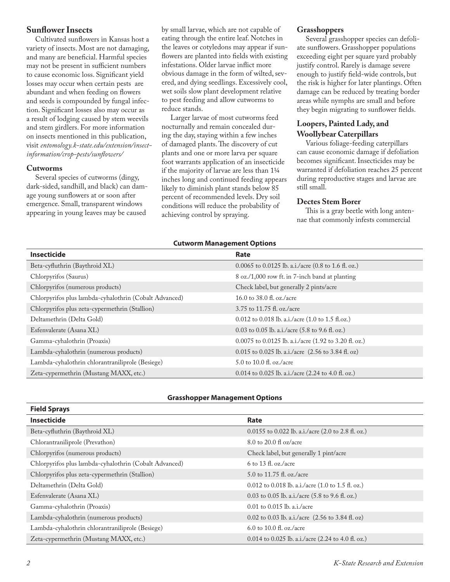## **Sunflower Insects**

Cultivated sunflowers in Kansas host a variety of insects. Most are not damaging, and many are beneficial. Harmful species may not be present in sufficient numbers to cause economic loss. Significant yield losses may occur when certain pests are abundant and when feeding on flowers and seeds is compounded by fungal infection. Significant losses also may occur as a result of lodging caused by stem weevils and stem girdlers. For more information on insects mentioned in this publication, visit *[entomology.k-state.edu/extension/insect](https://entomology.k-state.edu/extension/insect-information/crop-pests/sunflowers/)information/crop-pests/sunflowers/*

## **Cutworms**

Several species of cutworms (dingy, dark-sided, sandhill, and black) can damage young sunflowers at or soon after emergence. Small, transparent windows appearing in young leaves may be caused

by small larvae, which are not capable of eating through the entire leaf. Notches in the leaves or cotyledons may appear if sunflowers are planted into fields with existing infestations. Older larvae inflict more obvious damage in the form of wilted, severed, and dying seedlings. Excessively cool, wet soils slow plant development relative to pest feeding and allow cutworms to reduce stands.

Larger larvae of most cutworms feed nocturnally and remain concealed during the day, staying within a few inches of damaged plants. The discovery of cut plants and one or more larva per square foot warrants application of an insecticide if the majority of larvae are less than 11/4 inches long and continued feeding appears likely to diminish plant stands below 85 percent of recommended levels. Dry soil conditions will reduce the probability of achieving control by spraying.

## **Grasshoppers**

Several grasshopper species can defoliate sunflowers. Grasshopper populations exceeding eight per square yard probably justify control. Rarely is damage severe enough to justify field-wide controls, but the risk is higher for later plantings. Often damage can be reduced by treating border areas while nymphs are small and before they begin migrating to sunflower fields.

# **Loopers, Painted Lady, and Woollybear Caterpillars**

Various foliage-feeding caterpillars can cause economic damage if defoliation becomes significant. Insecticides may be warranted if defoliation reaches 25 percent during reproductive stages and larvae are still small.

## **Dectes Stem Borer**

This is a gray beetle with long antennae that commonly infests commercial

## **Cutworm Management Options**

| Insecticide                                            | Rate                                                                       |
|--------------------------------------------------------|----------------------------------------------------------------------------|
| Beta-cyfluthrin (Baythroid XL)                         | $0.0065$ to $0.0125$ lb. a.i./acre $(0.8 \text{ to } 1.6 \text{ ft. oz.})$ |
| Chlorpyrifos (Saurus)                                  | 8 oz./1,000 row ft. in 7-inch band at planting                             |
| Chlorpyrifos (numerous products)                       | Check label, but generally 2 pints/acre                                    |
| Chlorpyrifos plus lambda-cyhalothrin (Cobalt Advanced) | 16.0 to 38.0 fl. oz./acre                                                  |
| Chlorpyrifos plus zeta-cypermethrin (Stallion)         | 3.75 to 11.75 fl. oz./acre                                                 |
| Deltamethrin (Delta Gold)                              | $0.012$ to 0.018 lb. a.i./acre (1.0 to 1.5 fl.oz.)                         |
| Esfenvalerate (Asana XL)                               | 0.03 to 0.05 lb. a.i./acre $(5.8 \text{ to } 9.6 \text{ ft. oz.})$         |
| Gamma-cyhalothrin (Proaxis)                            | 0.0075 to 0.0125 lb. a.i./acre (1.92 to 3.20 fl. oz.)                      |
| Lambda-cyhalothrin (numerous products)                 | 0.015 to 0.025 lb. a.i./acre (2.56 to 3.84 fl. oz)                         |
| Lambda-cyhalothrin chlorantraniliprole (Besiege)       | $5.0$ to $10.0$ fl. oz./acre                                               |
| Zeta-cypermethrin (Mustang MAXX, etc.)                 | 0.014 to 0.025 lb. a.i./acre $(2.24$ to 4.0 fl. oz.)                       |

## **Grasshopper Management Options**

| <b>Field Sprays</b>                                    |                                                                       |
|--------------------------------------------------------|-----------------------------------------------------------------------|
| <b>Insecticide</b>                                     | Rate                                                                  |
| Beta-cyfluthrin (Baythroid XL)                         | 0.0155 to 0.022 lb. a.i./acre $(2.0 \text{ to } 2.8 \text{ ft. oz.})$ |
| Chlorantraniliprole (Prevathon)                        | 8.0 to 20.0 fl oz/acre                                                |
| Chlorpyrifos (numerous products)                       | Check label, but generally 1 pint/acre                                |
| Chlorpyrifos plus lambda-cyhalothrin (Cobalt Advanced) | 6 to 13 fl. oz./acre                                                  |
| Chlorpyrifos plus zeta-cypermethrin (Stallion)         | 5.0 to 11.75 fl. oz./acre                                             |
| Deltamethrin (Delta Gold)                              | 0.012 to 0.018 lb. a.i./acre $(1.0 \text{ to } 1.5 \text{ ft. oz.})$  |
| Esfenvalerate (Asana XL)                               | 0.03 to 0.05 lb. a.i./acre $(5.8 \text{ to } 9.6 \text{ ft. oz.})$    |
| Gamma-cyhalothrin (Proaxis)                            | $0.01$ to $0.015$ lb. a.i./acre                                       |
| Lambda-cyhalothrin (numerous products)                 | 0.02 to 0.03 lb. a.i./acre $(2.56 \text{ to } 3.84 \text{ ft. oz})$   |
| Lambda-cyhalothrin chlorantraniliprole (Besiege)       | 6.0 to 10.0 fl. oz./acre                                              |
| Zeta-cypermethrin (Mustang MAXX, etc.)                 | 0.014 to 0.025 lb. a.i./acre $(2.24$ to 4.0 fl. oz.)                  |

**Field Sprays**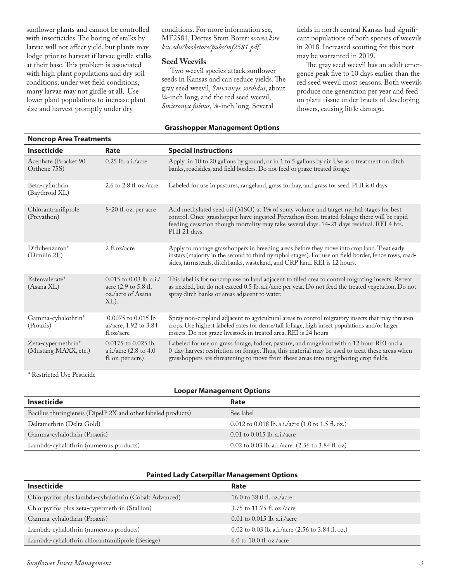sunflower plants and cannot be controlled with insecticides. The boring of stalks by larvae will not affect yield, but plants may lodge prior to harvest if larvae girdle stalks at their base. This problem is associated with high plant populations and dry soil conditions; under wet field conditions, many larvae may not girdle at all. Use lower plant populations to increase plant size and harvest promptly under dry

conditions. For more information see, MF2581, Dectes Stem Borer: *www.ksre. [ksu.edu/bookstore/pubs/mf2581.pdf](https://www.bookstore.ksre.ksu.edu/pubs/MF2581.pdf)*.

## **Seed Weevils**

Two weevil species attack sunflower seeds in Kansas and can reduce yields. The gray seed weevil, *Smicronyx sordidus*, about 1⁄4-inch long, and the red seed weevil, *Smicronyx fulvus*, 1⁄8-inch long. Several

#### **Grasshopper Management Options**

fields in north central Kansas had significant populations of both species of weevils in 2018. Increased scouting for this pest may be warranted in 2019.

The gray seed weevil has an adult emergence peak five to 10 days earlier than the red seed weevil most seasons. Both weevils produce one generation per year and feed on plant tissue under bracts of developing flowers, causing little damage.

| <b>Noncrop Area Treatments</b>             |                                                                                   |                                                                                                                                                                                                                                                                                                  |
|--------------------------------------------|-----------------------------------------------------------------------------------|--------------------------------------------------------------------------------------------------------------------------------------------------------------------------------------------------------------------------------------------------------------------------------------------------|
| <b>Insecticide</b>                         | Rate                                                                              | <b>Special Instructions</b>                                                                                                                                                                                                                                                                      |
| Acephate (Bracket 90<br>Orthene 75S)       | $0.25$ lb. a.i./acre                                                              | Apply in 10 to 20 gallons by ground, or in 1 to 5 gallons by air. Use as a treatment on ditch<br>banks, roadsides, and field borders. Do not feed or graze treated forage.                                                                                                                       |
| Beta-cyfluthrin<br>(Baythroid XL)          | 2.6 to 2.8 fl. oz./acre                                                           | Labeled for use in pastures, rangeland, grass for hay, and grass for seed. PHI is 0 days.                                                                                                                                                                                                        |
| Chlorantraniliprole<br>(Prevathon)         | 8-20 fl. oz. per acre                                                             | Add methylated seed oil (MSO) at 1% of spray volume and target nyphal stages for best<br>control. Once grasshopper have ingested Prevathon from treated foliage there will be rapid<br>feeding cessation though mortality may take several days. 14-21 days residual. REI 4 hrs.<br>PHI 21 days. |
| Diflubenzuron*<br>(Dimilin 2L)             | $2 \text{ fl.oz/acre}$                                                            | Apply to manage grasshoppers in breeding areas before they move into crop land. Treat early<br>instars (majority in the second to third nymphal stages). For use on field border, fence rows, road-<br>sides, farmsteads, ditchbanks, wasteland, and CRP land. REI is 12 hours.                  |
| Esfenvalerate*<br>(Asana XL)               | $0.015$ to 0.03 lb. a.i./<br>acre (2.9 to 5.8 fl.<br>oz./acre of Asana<br>$XL$ ). | This label is for noncrop use on land adjacent to tilled area to control migrating insects. Repeat<br>as needed, but do not exceed 0.5 lb. a.i./acre per year. Do not feed the treated vegetation. Do not<br>spray ditch banks or areas adjacent to water.                                       |
| Gamma-cyhalothrin*<br>(Proaxis)            | $0.0075$ to $0.015$ lb<br>ai/acre, 1.92 to 3.84<br>fl.oz/acre                     | Spray non-cropland adjacent to agricultural areas to control migratory insects that may threaten<br>crops. Use highest labeled rates for dense/tall foliage, high insect populations and/or larger<br>insects. Do not graze livestock in treated area. REI is 24 hours                           |
| Zeta-cypermethrin*<br>(Mustang MAXX, etc.) | $0.0175$ to $0.025$ lb.<br>a.i./acre (2.8 to 4.0<br>fl. oz. per acre)             | Labeled for use on grass forage, fodder, pasture, and rangeland with a 12 hour REI and a<br>0-day harvest restriction on forage. Thus, this material may be used to treat these areas when<br>grasshoppers are threatening to move from these areas into neighboring crop fields.                |

\* Restricted Use Pesticide

| <b>Looper Management Options</b>                              |                                                                      |  |
|---------------------------------------------------------------|----------------------------------------------------------------------|--|
| Insecticide                                                   | Rate                                                                 |  |
| Bacillus thuringiensis (Dipel® 2X and other labeled products) | See label                                                            |  |
| Deltamethrin (Delta Gold)                                     | 0.012 to 0.018 lb. a.i./acre $(1.0 \text{ to } 1.5 \text{ ft. oz.})$ |  |
| Gamma-cyhalothrin (Proaxis)                                   | $0.01$ to $0.015$ lb. a.i./acre                                      |  |
| Lambda-cyhalothrin (numerous products)                        | 0.02 to 0.03 lb. a.i./acre $(2.56 \text{ to } 3.84 \text{ ft. oz})$  |  |

|  | <b>Painted Lady Caterpillar Management Options</b> |  |
|--|----------------------------------------------------|--|
|  |                                                    |  |

| <b>Insecticide</b>                                     | Rate                                              |
|--------------------------------------------------------|---------------------------------------------------|
| Chlorpyrifos plus lambda-cyhalothrin (Cobalt Advanced) | 16.0 to 38.0 fl. oz./acre                         |
| Chlorpyrifos plus zeta-cypermethrin (Stallion)         | 3.75 to 11.75 fl. oz./acre                        |
| Gamma-cyhalothrin (Proaxis)                            | $0.01$ to $0.015$ lb. a.i./acre                   |
| Lambda-cyhalothrin (numerous products)                 | 0.02 to 0.03 lb. a.i./acre (2.56 to 3.84 fl. oz.) |
| Lambda-cyhalothrin chlorantraniliprole (Besiege)       | 6.0 to 10.0 fl. oz./acre                          |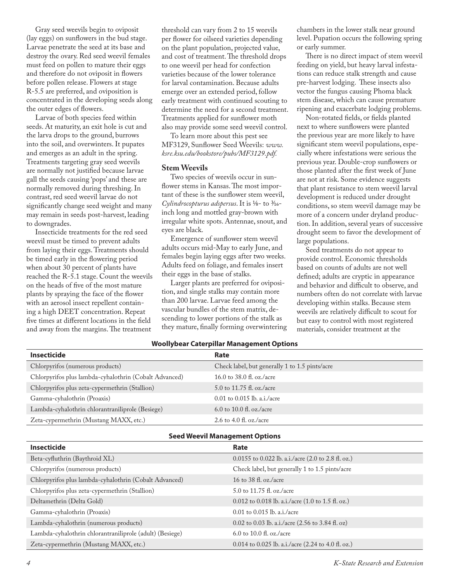Gray seed weevils begin to oviposit (lay eggs) on sunflowers in the bud stage. Larvae penetrate the seed at its base and destroy the ovary. Red seed weevil females must feed on pollen to mature their eggs and therefore do not oviposit in flowers before pollen release. Flowers at stage R-5.5 are preferred, and oviposition is concentrated in the developing seeds along the outer edges of flowers.

Larvae of both species feed within seeds. At maturity, an exit hole is cut and the larva drops to the ground, burrows into the soil, and overwinters. It pupates and emerges as an adult in the spring. Treatments targeting gray seed weevils are normally not justified because larvae gall the seeds causing 'pops' and these are normally removed during threshing. In contrast, red seed weevil larvae do not significantly change seed weight and many may remain in seeds post-harvest, leading to downgrades.

Insecticide treatments for the red seed weevil must be timed to prevent adults from laying their eggs. Treatments should be timed early in the flowering period when about 30 percent of plants have reached the R-5.1 stage. Count the weevils on the heads of five of the most mature plants by spraying the face of the flower with an aerosol insect repellent containing a high DEET concentration. Repeat five times at different locations in the field and away from the margins. The treatment

threshold can vary from 2 to 15 weevils per flower for oilseed varieties depending on the plant population, projected value, and cost of treatment. The threshold drops to one weevil per head for confection varieties because of the lower tolerance for larval contamination. Because adults emerge over an extended period, follow early treatment with continued scouting to determine the need for a second treatment. Treatments applied for sunflower moth also may provide some seed weevil control.

To learn more about this pest see MF3129, Sunflower Seed Weevils: *www. [ksre.ksu.edu/bookstore/pubs/MF3129.pdf.](https://www.bookstore.ksre.ksu.edu/pubs/MF3129.pdf)*

## **Stem Weevils**

Two species of weevils occur in sunflower stems in Kansas. The most important of these is the sunflower stem weevil, *Cylindrocopturus adspersus*. It is 1⁄8- to 3⁄16 inch long and mottled gray-brown with irregular white spots. Antennae, snout, and eyes are black.

Emergence of sunflower stem weevil adults occurs mid-May to early June, and females begin laying eggs after two weeks. Adults feed on foliage, and females insert their eggs in the base of stalks.

Larger plants are preferred for oviposition, and single stalks may contain more than 200 larvae. Larvae feed among the vascular bundles of the stem matrix, descending to lower portions of the stalk as they mature, finally forming overwintering chambers in the lower stalk near ground level. Pupation occurs the following spring or early summer.

There is no direct impact of stem weevil feeding on yield, but heavy larval infestations can reduce stalk strength and cause pre-harvest lodging. These insects also vector the fungus causing Phoma black stem disease, which can cause premature ripening and exacerbate lodging problems.

Non-rotated fields, or fields planted next to where sunflowers were planted the previous year are more likely to have significant stem weevil populations, especially where infestations were serious the previous year. Double-crop sunflowers or those planted after the first week of June are not at risk. Some evidence suggests that plant resistance to stem weevil larval development is reduced under drought conditions, so stem weevil damage may be more of a concern under dryland production. In addition, several years of successive drought seem to favor the development of large populations.

Seed treatments do not appear to provide control. Economic thresholds based on counts of adults are not well defined; adults are cryptic in appearance and behavior and difficult to observe, and numbers often do not correlate with larvae developing within stalks. Because stem weevils are relatively difficult to scout for but easy to control with most registered materials, consider treatment at the

## **Woollybear Caterpillar Management Options**

| Rate                                           |
|------------------------------------------------|
| Check label, but generally 1 to 1.5 pints/acre |
| 16.0 to 38.0 fl. oz./acre                      |
| 5.0 to 11.75 fl. oz./acre                      |
| $0.01$ to $0.015$ lb. a.i./acre                |
| 6.0 to 10.0 fl. oz./acre                       |
| 2.6 to 4.0 fl. oz./acre                        |
|                                                |

|  | <b>Seed Weevil Management Options</b> |  |
|--|---------------------------------------|--|
|--|---------------------------------------|--|

| <b>Insecticide</b>                                       | Rate                                                                 |
|----------------------------------------------------------|----------------------------------------------------------------------|
| Beta-cyfluthrin (Baythroid XL)                           | $0.0155$ to 0.022 lb. a.i./acre (2.0 to 2.8 fl. oz.)                 |
| Chlorpyrifos (numerous products)                         | Check label, but generally 1 to 1.5 pints/acre                       |
| Chlorpyrifos plus lambda-cyhalothrin (Cobalt Advanced)   | 16 to 38 fl. oz./acre                                                |
| Chlorpyrifos plus zeta-cypermethrin (Stallion)           | 5.0 to 11.75 fl. oz./acre                                            |
| Deltamethrin (Delta Gold)                                | 0.012 to 0.018 lb. a.i./acre $(1.0 \text{ to } 1.5 \text{ ft. oz.})$ |
| Gamma-cyhalothrin (Proaxis)                              | $0.01$ to $0.015$ lb. a.i./acre                                      |
| Lambda-cyhalothrin (numerous products)                   | 0.02 to 0.03 lb. a.i./acre $(2.56 \text{ to } 3.84 \text{ ft. oz})$  |
| Lambda-cyhalothrin chlorantraniliprole (adult) (Besiege) | 6.0 to 10.0 fl. oz./acre                                             |
| Zeta-cypermethrin (Mustang MAXX, etc.)                   | 0.014 to 0.025 lb. a.i./acre $(2.24$ to 4.0 fl. oz.)                 |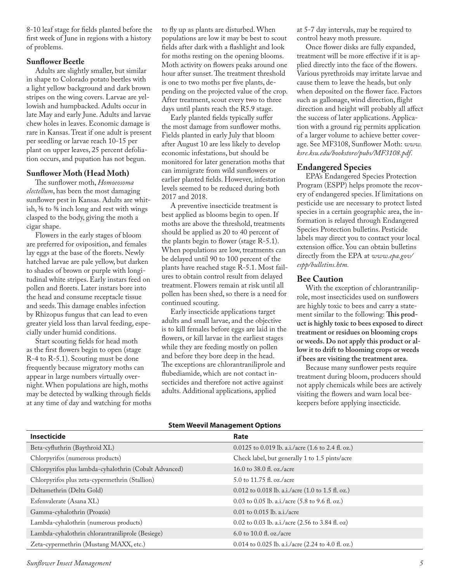8-10 leaf stage for fields planted before the first week of June in regions with a history of problems.

## **Sunflower Beetle**

Adults are slightly smaller, but similar in shape to Colorado potato beetles with a light yellow background and dark brown stripes on the wing covers. Larvae are yellowish and humpbacked. Adults occur in late May and early June. Adults and larvae chew holes in leaves. Economic damage is rare in Kansas. Treat if one adult is present per seedling or larvae reach 10-15 per plant on upper leaves, 25 percent defoliation occurs, and pupation has not begun.

## **Sunflower Moth (Head Moth)**

The sunflower moth, *Homoeosoma electellum*, has been the most damaging sunflower pest in Kansas. Adults are whitish, 3⁄8 to 5⁄8 inch long and rest with wings clasped to the body, giving the moth a cigar shape.

Flowers in the early stages of bloom are preferred for oviposition, and females lay eggs at the base of the florets. Newly hatched larvae are pale yellow, but darken to shades of brown or purple with longitudinal white stripes. Early instars feed on pollen and florets. Later instars bore into the head and consume receptacle tissue and seeds. This damage enables infection by Rhizopus fungus that can lead to even greater yield loss than larval feeding, especially under humid conditions.

Start scouting fields for head moth as the first flowers begin to open (stage R-4 to R-5.1). Scouting must be done frequently because migratory moths can appear in large numbers virtually overnight. When populations are high, moths may be detected by walking through fields at any time of day and watching for moths to fly up as plants are disturbed. When populations are low it may be best to scout fields after dark with a flashlight and look for moths resting on the opening blooms. Moth activity on flowers peaks around one hour after sunset. The treatment threshold is one to two moths per five plants, depending on the projected value of the crop. After treatment, scout every two to three days until plants reach the R5.9 stage.

Early planted fields typically suffer the most damage from sunflower moths. Fields planted in early July that bloom after August 10 are less likely to develop economic infestations, but should be monitored for later generation moths that can immigrate from wild sunflowers or earlier planted fields. However, infestation levels seemed to be reduced during both 2017 and 2018.

A preventive insecticide treatment is best applied as blooms begin to open. If moths are above the threshold, treatments should be applied as 20 to 40 percent of the plants begin to flower (stage R-5.1). When populations are low, treatments can be delayed until 90 to 100 percent of the plants have reached stage R-5.1. Most failures to obtain control result from delayed treatment. Flowers remain at risk until all pollen has been shed, so there is a need for continued scouting.

Early insecticide applications target adults and small larvae, and the objective is to kill females before eggs are laid in the flowers, or kill larvae in the earliest stages while they are feeding mostly on pollen and before they bore deep in the head. The exceptions are chlorantraniliprole and flubediamide, which are not contact insecticides and therefore not active against adults. Additional applications, applied

at 5-7 day intervals, may be required to control heavy moth pressure.

Once flower disks are fully expanded, treatment will be more effective if it is applied directly into the face of the flowers. Various pyrethroids may irritate larvae and cause them to leave the heads, but only when deposited on the flower face. Factors such as gallonage, wind direction, flight direction and height will probably all affect the success of later applications. Application with a ground rig permits application of a larger volume to achieve better coverage. See MF3108, Sunflower Moth: *www. [ksre.ksu.edu/bookstore/pubs/MF3108.pdf](https://www.bookstore.ksre.ksu.edu/pubs/MF3108.pdf)*.

## **Endangered Species**

EPA's Endangered Species Protection Program (ESPP) helps promote the recovery of endangered species. If limitations on pesticide use are necessary to protect listed species in a certain geographic area, the information is relayed through Endangered Species Protection bulletins. Pesticide labels may direct you to contact your local extension office. You can obtain bulletins [directly from the EPA at](https://www.epa.gov/endangered-species) *www.epa.gov/ espp/bulletins.htm.*

## **Bee Caution**

With the exception of chlorantraniliprole, most insecticides used on sunflowers are highly toxic to bees and carry a statement similar to the following: **This product is highly toxic to bees exposed to direct treatment or residues on blooming crops or weeds. Do not apply this product or allow it to drift to blooming crops or weeds if bees are visiting the treatment area.** 

Because many sunflower pests require treatment during bloom, producers should not apply chemicals while bees are actively visiting the flowers and warn local beekeepers before applying insecticide.

| Stem weevil Management Options                         |                                                                      |  |
|--------------------------------------------------------|----------------------------------------------------------------------|--|
| Insecticide                                            | Rate                                                                 |  |
| Beta-cyfluthrin (Baythroid XL)                         | 0.0125 to 0.019 lb. a.i./acre (1.6 to 2.4 fl. oz.)                   |  |
| Chlorpyrifos (numerous products)                       | Check label, but generally 1 to 1.5 pints/acre                       |  |
| Chlorpyrifos plus lambda-cyhalothrin (Cobalt Advanced) | 16.0 to 38.0 fl. oz./acre                                            |  |
| Chlorpyrifos plus zeta-cypermethrin (Stallion)         | 5.0 to 11.75 fl. oz./acre                                            |  |
| Deltamethrin (Delta Gold)                              | 0.012 to 0.018 lb. a.i./acre $(1.0 \text{ to } 1.5 \text{ fl. oz.})$ |  |
| Esfenvalerate (Asana XL)                               | 0.03 to 0.05 lb. a.i./acre (5.8 to 9.6 fl. oz.)                      |  |
| Gamma-cyhalothrin (Proaxis)                            | $0.01$ to $0.015$ lb. a.i./acre                                      |  |
| Lambda-cyhalothrin (numerous products)                 | 0.02 to 0.03 lb. a.i./acre (2.56 to 3.84 fl. oz)                     |  |
| Lambda-cyhalothrin chlorantraniliprole (Besiege)       | 6.0 to 10.0 fl. oz./acre                                             |  |
| Zeta-cypermethrin (Mustang MAXX, etc.)                 | 0.014 to 0.025 lb. a.i./acre $(2.24$ to 4.0 fl. oz.)                 |  |

**Stem Weevil Management Options**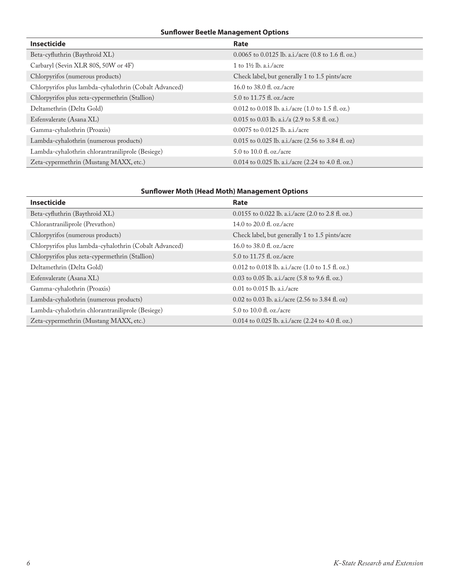## **Sunflower Beetle Management Options**

| <b>Insecticide</b>                                     | Rate                                                                  |
|--------------------------------------------------------|-----------------------------------------------------------------------|
| Beta-cyfluthrin (Baythroid XL)                         | $0.0065$ to $0.0125$ lb. a.i./acre (0.8 to 1.6 fl. oz.)               |
| Carbaryl (Sevin XLR 80S, 50W or 4F)                    | 1 to $1\frac{1}{2}$ lb. a.i./acre                                     |
| Chlorpyrifos (numerous products)                       | Check label, but generally 1 to 1.5 pints/acre                        |
| Chlorpyrifos plus lambda-cyhalothrin (Cobalt Advanced) | 16.0 to 38.0 fl. oz./acre                                             |
| Chlorpyrifos plus zeta-cypermethrin (Stallion)         | 5.0 to 11.75 fl. oz./acre                                             |
| Deltamethrin (Delta Gold)                              | 0.012 to 0.018 lb. a.i./acre $(1.0 \text{ to } 1.5 \text{ ft. oz.})$  |
| Esfenvalerate (Asana XL)                               | $0.015$ to 0.03 lb. a.i./a (2.9 to 5.8 fl. oz.)                       |
| Gamma-cyhalothrin (Proaxis)                            | $0.0075$ to $0.0125$ lb. a.i./acre                                    |
| Lambda-cyhalothrin (numerous products)                 | 0.015 to 0.025 lb. a.i./acre $(2.56 \text{ to } 3.84 \text{ ft. oz})$ |
| Lambda-cyhalothrin chlorantraniliprole (Besiege)       | 5.0 to 10.0 fl. oz./acre                                              |
| Zeta-cypermethrin (Mustang MAXX, etc.)                 | 0.014 to 0.025 lb. a.i./acre $(2.24$ to 4.0 fl. oz.)                  |

# **Sunflower Moth (Head Moth) Management Options**

| <b>Insecticide</b>                                     | <b>Rate</b>                                                          |
|--------------------------------------------------------|----------------------------------------------------------------------|
| Beta-cyfluthrin (Baythroid XL)                         | $0.0155$ to 0.022 lb. a.i./acre (2.0 to 2.8 fl. oz.)                 |
| Chlorantraniliprole (Prevathon)                        | 14.0 to 20.0 fl. oz./acre                                            |
| Chlorpyrifos (numerous products)                       | Check label, but generally 1 to 1.5 pints/acre                       |
| Chlorpyrifos plus lambda-cyhalothrin (Cobalt Advanced) | 16.0 to 38.0 fl. oz./acre                                            |
| Chlorpyrifos plus zeta-cypermethrin (Stallion)         | 5.0 to 11.75 fl. oz./acre                                            |
| Deltamethrin (Delta Gold)                              | 0.012 to 0.018 lb. a.i./acre $(1.0 \text{ to } 1.5 \text{ ft. oz.})$ |
| Esfenvalerate (Asana XL)                               | 0.03 to 0.05 lb. a.i./acre (5.8 to 9.6 fl. oz.)                      |
| Gamma-cyhalothrin (Proaxis)                            | $0.01$ to $0.015$ lb. a.i./acre                                      |
| Lambda-cyhalothrin (numerous products)                 | 0.02 to 0.03 lb. a.i./acre $(2.56 \text{ to } 3.84 \text{ ft. oz})$  |
| Lambda-cyhalothrin chlorantraniliprole (Besiege)       | $5.0$ to $10.0$ fl. oz./acre                                         |
| Zeta-cypermethrin (Mustang MAXX, etc.)                 | 0.014 to 0.025 lb. a.i./acre $(2.24$ to 4.0 fl. oz.)                 |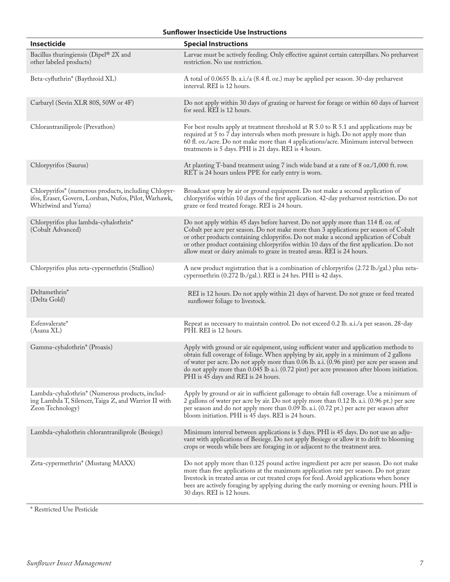## **Sunflower Insecticide Use Instructions**

| Insecticide                                                                                                                          | <b>Special Instructions</b>                                                                                                                                                                                                                                                                                                                                                                                                               |
|--------------------------------------------------------------------------------------------------------------------------------------|-------------------------------------------------------------------------------------------------------------------------------------------------------------------------------------------------------------------------------------------------------------------------------------------------------------------------------------------------------------------------------------------------------------------------------------------|
| Bacillus thuringiensis (Dipel® 2X and<br>other labeled products)                                                                     | Larvae must be actively feeding. Only effective against certain caterpillars. No preharvest<br>restriction. No use restriction.                                                                                                                                                                                                                                                                                                           |
| Beta-cyfluthrin* (Baythroid XL)                                                                                                      | A total of 0.0655 lb. a.i./a (8.4 fl. oz.) may be applied per season. 30-day preharvest<br>interval. REI is 12 hours.                                                                                                                                                                                                                                                                                                                     |
| Carbaryl (Sevin XLR 80S, 50W or 4F)                                                                                                  | Do not apply within 30 days of grazing or harvest for forage or within 60 days of harvest<br>for seed. REI is 12 hours.                                                                                                                                                                                                                                                                                                                   |
| Chlorantraniliprole (Prevathon)                                                                                                      | For best results apply at treatment threshold at $R$ 5.0 to $R$ 5.1 and applications may be<br>required at 5 to 7 day intervals when moth pressure is high. Do not apply more than<br>60 fl. oz./acre. Do not make more than 4 applications/acre. Minimum interval between<br>treatments is 5 days. PHI is 21 days. REI is 4 hours.                                                                                                       |
| Chlorpyrifos (Saurus)                                                                                                                | At planting T-band treatment using 7 inch wide band at a rate of 8 oz./1,000 ft. row.<br>RET is 24 hours unless PPE for early entry is worn.                                                                                                                                                                                                                                                                                              |
| Chlorpyrifos* (numerous products, including Chlopyr-<br>ifos, Eraser, Govern, Lorsban, Nufos, Pilot, Warhawk,<br>Whirlwind and Yuma) | Broadcast spray by air or ground equipment. Do not make a second application of<br>chlorpyrifos within 10 days of the first application. 42-day preharvest restriction. Do not<br>graze or feed treated forage. REI is 24 hours.                                                                                                                                                                                                          |
| Chlorpyrifos plus lambda-cyhalothrin*<br>(Cobalt Advanced)                                                                           | Do not apply within 45 days before harvest. Do not apply more than 114 fl. oz. of<br>Cobalt per acre per season. Do not make more than 3 applications per season of Cobalt<br>or other products containing chlopyrifos. Do not make a second application of Cobalt<br>or other product containing chlorpyrifos within 10 days of the first application. Do not<br>allow meat or dairy animals to graze in treated areas. REI is 24 hours. |
| Chlorpyrifos plus zeta-cypermethrin (Stallion)                                                                                       | A new product registration that is a combination of chlorpyrifos (2.72 lb./gal.) plus zeta-<br>cypermethrin (0.272 lb./gal.). REI is 24 hrs. PHI is 42 days.                                                                                                                                                                                                                                                                              |
| Deltamethrin*<br>(Delta Gold)                                                                                                        | REI is 12 hours. Do not apply within 21 days of harvest. Do not graze or feed treated<br>sunflower foliage to livestock.                                                                                                                                                                                                                                                                                                                  |
| Esfenvalerate*<br>(Asana XL)                                                                                                         | Repeat as necessary to maintain control. Do not exceed 0.2 lb. a.i./a per season. 28-day<br>PHI. REI is 12 hours.                                                                                                                                                                                                                                                                                                                         |
| Gamma-cyhalothrin* (Proaxis)                                                                                                         | Apply with ground or air equipment, using sufficient water and application methods to<br>obtain full coverage of foliage. When applying by air, apply in a minimum of 2 gallons<br>of water per acre. Do not apply more than 0.06 lb. a.i. (0.96 pint) per acre per season and<br>do not apply more than 0.045 lb a.i. (0.72 pint) per acre preseason after bloom initiation.<br>PHI is 45 days and REI is 24 hours.                      |
| Lambda-cyhalothrin* (Numerous products, includ-<br>ing Lambda T, Silencer, Taiga Z, and Warrior II with<br>Zeon Technology)          | Apply by ground or air in sufficient gallonage to obtain full coverage. Use a minimum of<br>2 gallons of water per acre by air. Do not apply more than 0.12 lb. a.i. (0.96 pt.) per acre<br>per season and do not apply more than 0.09 lb. a.i. (0.72 pt.) per acre per season after<br>bloom initiation. PHI is 45 days. REI is 24 hours.                                                                                                |
| Lambda-cyhalothrin chlorantraniliprole (Besiege)                                                                                     | Minimum interval between applications is 5 days. PHI is 45 days. Do not use an adju-<br>vant with applications of Besiege. Do not apply Besiege or allow it to drift to blooming<br>crops or weeds while bees are foraging in or adjacent to the treatment area.                                                                                                                                                                          |
| Zeta-cypermethrin* (Mustang MAXX)                                                                                                    | Do not apply more than 0.125 pound active ingredient per acre per season. Do not make<br>more than five applications at the maximum application rate per season. Do not graze<br>livestock in treated areas or cut treated crops for feed. Avoid applications when honey<br>bees are actively foraging by applying during the early morning or evening hours. PHI is<br>30 days. REI is 12 hours.                                         |
| * Restricted Use Pesticide                                                                                                           |                                                                                                                                                                                                                                                                                                                                                                                                                                           |